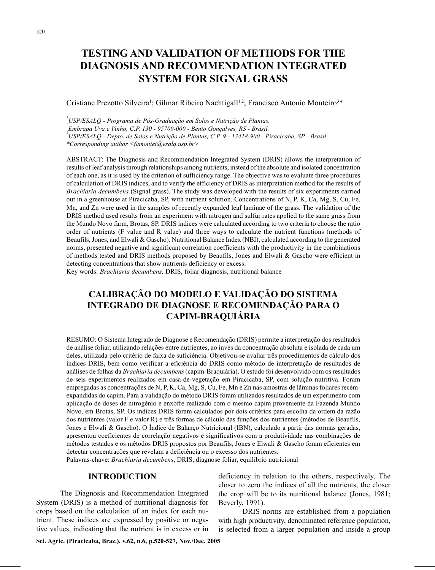# **TESTING AND VALIDATION OF METHODS FOR THE DIAGNOSIS AND RECOMMENDATION INTEGRATED SYSTEM FOR SIGNAL GRASS**

#### Cristiane Prezotto Silveira<sup>1</sup>; Gilmar Ribeiro Nachtigall<sup>1,2</sup>; Francisco Antonio Monteiro<sup>3\*</sup>

 *USP/ESALQ - Programa de Pós-Graduação em Solos e Nutrição de Plantas. Embrapa Uva e Vinho, C.P. 130 - 95700-000 - Bento Gonçalves, RS - Brasil. USP/ESALQ - Depto. de Solos e Nutrição de Plantas, C.P. 9 - 13418-900 - Piracicaba, SP - Brasil. \*Corresponding author <famontei@esalq.usp.br>*

ABSTRACT: The Diagnosis and Recommendation Integrated System (DRIS) allows the interpretation of results of leaf analysis through relationships among nutrients, instead of the absolute and isolated concentration of each one, as it is used by the criterion of sufficiency range. The objective was to evaluate three procedures of calculation of DRIS indices, and to verify the efficiency of DRIS as interpretation method for the results of *Brachiaria decumbens* (Signal grass). The study was developed with the results of six experiments carried out in a greenhouse at Piracicaba, SP, with nutrient solution. Concentrations of N, P, K, Ca, Mg, S, Cu, Fe, Mn, and Zn were used in the samples of recently expanded leaf laminae of the grass. The validation of the DRIS method used results from an experiment with nitrogen and sulfur rates applied to the same grass from the Mundo Novo farm, Brotas, SP. DRIS indices were calculated according to two criteria to choose the ratio order of nutrients (F value and R value) and three ways to calculate the nutrient functions (methods of Beaufils, Jones, and Elwali & Gascho). Nutritional Balance Index (NBI), calculated according to the generated norms, presented negative and significant correlation coefficients with the productivity in the combinations of methods tested and DRIS methods proposed by Beaufils, Jones and Elwali & Gascho were efficient in detecting concentrations that show nutrients deficiency or excess.

Key words: *Brachiaria decumbens,* DRIS, foliar diagnosis, nutritional balance

# **CALIBRAÇÃO DO MODELO E VALIDAÇÃO DO SISTEMA INTEGRADO DE DIAGNOSE E RECOMENDAÇÃO PARA O CAPIM-BRAQUIÁRIA**

RESUMO: O Sistema Integrado de Diagnose e Recomendação (DRIS) permite a interpretação dos resultados de análise foliar, utilizando relações entre nutrientes, ao invés da concentração absoluta e isolada de cada um deles, utilizada pelo critério de faixa de suficiência. Objetivou-se avaliar três procedimentos de cálculo dos índices DRIS, bem como verificar a eficiência do DRIS como método de interpretação de resultados de análises de folhas da *Brachiaria decumbens* (capim-Braquiária). O estudo foi desenvolvido com os resultados de seis experimentos realizados em casa-de-vegetação em Piracicaba, SP, com solução nutritiva. Foram empregadas as concentrações de N, P, K, Ca, Mg, S, Cu, Fe, Mn e Zn nas amostras de lâminas foliares recémexpandidas do capim. Para a validação do método DRIS foram utilizados resultados de um experimento com aplicação de doses de nitrogênio e enxofre realizado com o mesmo capim proveniente da Fazenda Mundo Novo, em Brotas, SP. Os índices DRIS foram calculados por dois critérios para escolha da ordem da razão dos nutrientes (valor F e valor R) e três formas de cálculo das funções dos nutrientes (métodos de Beaufils, Jones e Elwali & Gascho). O Índice de Balanço Nutricional (IBN), calculado a partir das normas geradas, apresentou coeficientes de correlação negativos e significativos com a produtividade nas combinações de métodos testados e os métodos DRIS propostos por Beaufils, Jones e Elwali & Gascho foram eficientes em detectar concentrações que revelam a deficiência ou o excesso dos nutrientes.

Palavras-chave: *Brachiaria decumbens*, DRIS, diagnose foliar, equilíbrio nutricional

#### **INTRODUCTION**

The Diagnosis and Recommendation Integrated System (DRIS) is a method of nutritional diagnosis for crops based on the calculation of an index for each nutrient. These indices are expressed by positive or negative values, indicating that the nutrient is in excess or in deficiency in relation to the others, respectively. The closer to zero the indices of all the nutrients, the closer the crop will be to its nutritional balance (Jones, 1981; Beverly, 1991).

DRIS norms are established from a population with high productivity, denominated reference population, is selected from a larger population and inside a group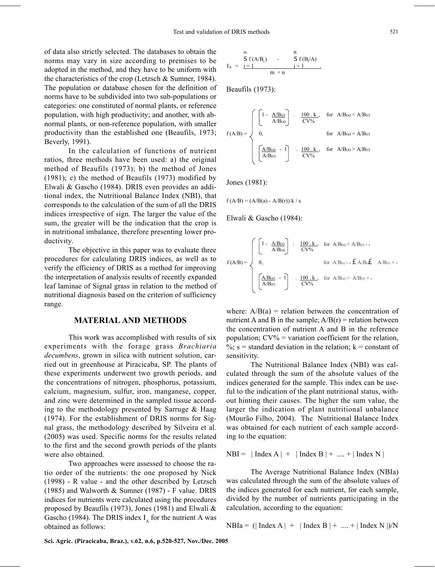of data also strictly selected. The databases to obtain the norms may vary in size according to premises to be adopted in the method, and they have to be uniform with the characteristics of the crop (Letzsch & Sumner, 1984). The population or database chosen for the definition of norms have to be subdivided into two sub-populations or categories: one constituted of normal plants, or reference population, with high productivity; and another, with abnormal plants, or non-reference population, with smaller productivity than the established one (Beaufils, 1973; Beverly, 1991).

In the calculation of functions of nutrient ratios, three methods have been used: a) the original method of Beaufils (1973); b) the method of Jones (1981); c) the method of Beaufils (1973) modified by Elwali & Gascho (1984). DRIS even provides an additional index, the Nutritional Balance Index (NBI), that corresponds to the calculation of the sum of all the DRIS indices irrespective of sign. The larger the value of the sum, the greater will be the indication that the crop is in nutritional imbalance, therefore presenting lower productivity.

The objective in this paper was to evaluate three procedures for calculating DRIS indices, as well as to verify the efficiency of DRIS as a method for improving the interpretation of analysis results of recently expanded leaf laminae of Signal grass in relation to the method of nutritional diagnosis based on the criterion of sufficiency range.

#### **MATERIAL AND METHODS**

This work was accomplished with results of six experiments with the forage grass *Brachiaria decumbens*, grown in silica with nutrient solution, carried out in greenhouse at Piracicaba, SP. The plants of these experiments underwent two growth periods, and the concentrations of nitrogen, phosphorus, potassium, calcium, magnesium, sulfur, iron, manganese, copper, and zinc were determined in the sampled tissue according to the methodology presented by Sarruge & Haag (1974). For the establishment of DRIS norms for Signal grass, the methodology described by Silveira et al. (2005) was used. Specific norms for the results related to the first and the second growth periods of the plants were also obtained.

Two approaches were assessed to choose the ratio order of the nutrients: the one proposed by Nick (1998) - R value - and the other described by Letzsch (1985) and Walworth & Sumner (1987) - F value. DRIS indices for nutrients were calculated using the procedures proposed by Beaufils (1973), Jones (1981) and Elwali & Gascho (1984). The DRIS index  $I<sub>x</sub>$  for the nutrient A was obtained as follows:

$$
I_A ~=~ \frac{m}{i=1}{f\left(A/B_i\right)}{\qquad \qquad } \frac{n}{j=1}{f\left(B_j/A\right)}{\qquad \qquad }.
$$

Beaufils (1973):

$$
f(A/B) = \begin{cases} \begin{bmatrix} 1 - \frac{A/B(r)}{A/B(a)} \end{bmatrix} & . & \frac{100 \cdot k}{CV\%} & \text{for} & A/B(a) \le A/B(r) \\ & 0, & \text{for} & A/B(a) = A/B(r) \\ & & \left[ \frac{A/B(a)}{A/B(r)} & -1 \right] & . & \frac{100 \cdot k}{CV\%} & \text{for} & A/B(a) \ge A/B(r) \end{cases}
$$

Jones (1981):

$$
f(A/B) = (A/B(a) - A/B(r)) k / s
$$

Elwali & Gascho (1984):

$$
f(AB) = \left\{ \begin{array}{ccc} \left[1 - \frac{A/B(r)}{A/B(a)} \right] & \cdot & \frac{100 \cdot k}{CV\%} & \text{for } A/B_{(a)} \leq A/B_{(r)} - s \\ & & & \\ 0, & \text{for } A/B_{(r)} - s & A/B_{(a)} & A/B_{(r)} + s \\ & & & \\ \left[\frac{A/B(a)}{A/B(r)} & \cdot & \frac{100 \cdot k}{CV\%} & \text{for } A/B_{(a)} \geq A/B_{(r)} + s \end{array} \right. \right.
$$

where:  $A/B(a)$  = relation between the concentration of nutrient A and B in the sample;  $A/B(r)$  = relation between the concentration of nutrient A and B in the reference population;  $CV\%$  = variation coefficient for the relation,  $\%$ ; s = standard deviation in the relation; k = constant of sensitivity.

The Nutritional Balance Index (NBI) was calculated through the sum of the absolute values of the indices generated for the sample. This index can be useful to the indication of the plant nutritional status, without hinting their causes. The higher the sum value, the larger the indication of plant nutritional unbalance (Mourão Filho, 2004). The Nutritional Balance Index was obtained for each nutrient of each sample according to the equation:

 $NBI = | Index A| + |Index B| + ... + |Index N|$ 

The Average Nutritional Balance Index (NBIa) was calculated through the sum of the absolute values of the indices generated for each nutrient, for each sample, divided by the number of nutrients participating in the calculation, according to the equation:

 $NBIa = (| Index A| + | Index B| + ... + | Index N |)/N$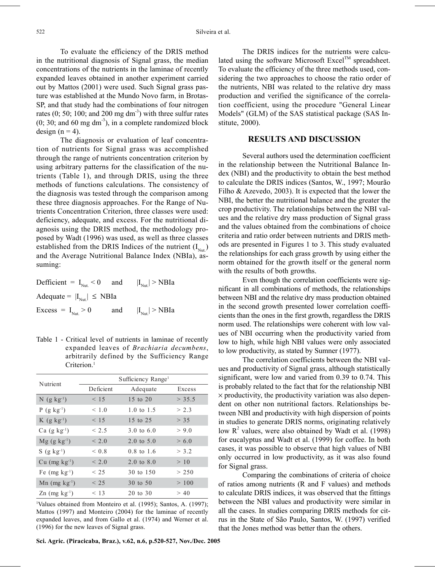To evaluate the efficiency of the DRIS method in the nutritional diagnosis of Signal grass, the median concentrations of the nutrients in the laminae of recently expanded leaves obtained in another experiment carried out by Mattos (2001) were used. Such Signal grass pasture was established at the Mundo Novo farm, in Brotas-SP, and that study had the combinations of four nitrogen rates  $(0; 50; 100;$  and  $200 \text{ mg dm}^{-3})$  with three sulfur rates  $(0; 30;$  and 60 mg dm<sup>-3</sup>), in a complete randomized block design  $(n = 4)$ .

The diagnosis or evaluation of leaf concentration of nutrients for Signal grass was accomplished through the range of nutrients concentration criterion by using arbitrary patterns for the classification of the nutrients (Table 1), and through DRIS, using the three methods of functions calculations. The consistency of the diagnosis was tested through the comparison among these three diagnosis approaches. For the Range of Nutrients Concentration Criterion, three classes were used: deficiency, adequate, and excess. For the nutritional diagnosis using the DRIS method, the methodology proposed by Wadt (1996) was used, as well as three classes established from the DRIS Indices of the nutrient  $(I_{Nut})$ and the Average Nutritional Balance Index (NBIa), assuming:

Defficient =  $I_{N_{\text{tot}}}$  < 0 and  $|I_{N_{\text{tot}}}|$  > NBIa Adequate =  $|I_{Nut}| \le NBIa$ Excess =  $I_{\text{Nut}} > 0$  and  $|I_{\text{Nut}}| > NBIa$ 

Table 1 - Critical level of nutrients in laminae of recently expanded leaves of *Brachiaria decumbens*, arbitrarily defined by the Sufficiency Range Criterion.<sup>1</sup>

| Nutrient                           | Sufficiency Range <sup>1</sup> |                       |        |  |  |
|------------------------------------|--------------------------------|-----------------------|--------|--|--|
|                                    | Deficient                      | Adequate              | Excess |  |  |
| $N$ (g kg <sup>-1</sup> )          | < 15                           | 15 to 20              | > 35.5 |  |  |
| $P$ (g kg <sup>-1</sup> )          | < 1.0                          | 1.0 to 1.5            | > 2.3  |  |  |
| $K$ (g kg <sup>-1</sup> )          | < 15                           | 15 to 25              | > 35   |  |  |
| $Ca$ (g $kg^{-1}$ )                | < 2.5                          | 3.0 to $6.0$          | > 9.0  |  |  |
| $Mg$ (g kg <sup>-1</sup> )         | < 2.0                          | 2.0 to $5.0$          | > 6.0  |  |  |
| $S$ (g kg <sup>-1</sup> )          | ${}< 0.8$                      | $0.8 \text{ to } 1.6$ | > 3.2  |  |  |
| $Cu$ (mg $kg^{-1}$ )               | < 2.0                          | $2.0 \text{ to } 8.0$ | >10    |  |  |
| Fe $(mg kg-1)$                     | $<$ 25                         | 30 to 150             | > 250  |  |  |
| $Mn$ (mg kg <sup>-1</sup> )        | < 25                           | 30 to 50              | >100   |  |  |
| $\text{Zn}$ (mg kg <sup>-1</sup> ) | < 13                           | 20 to 30              | > 40   |  |  |

1 Values obtained from Monteiro et al. (1995); Santos, A. (1997); Mattos (1997) and Monteiro (2004) for the laminae of recently expanded leaves, and from Gallo et al. (1974) and Werner et al. (1996) for the new leaves of Signal grass.

**Sci. Agric. (Piracicaba, Braz.), v.62, n.6, p.520-527, Nov./Dec. 2005**

The DRIS indices for the nutrients were calculated using the software Microsoft Excel<sup>TM</sup> spreadsheet. To evaluate the efficiency of the three methods used, considering the two approaches to choose the ratio order of the nutrients, NBI was related to the relative dry mass production and verified the significance of the correlation coefficient, using the procedure "General Linear Models" (GLM) of the SAS statistical package (SAS Institute, 2000).

#### **RESULTS AND DISCUSSION**

Several authors used the determination coefficient in the relationship between the Nutritional Balance Index (NBI) and the productivity to obtain the best method to calculate the DRIS indices (Santos, W., 1997; Mourão Filho & Azevedo, 2003). It is expected that the lower the NBI, the better the nutritional balance and the greater the crop productivity. The relationships between the NBI values and the relative dry mass production of Signal grass and the values obtained from the combinations of choice criteria and ratio order between nutrients and DRIS methods are presented in Figures 1 to 3. This study evaluated the relationships for each grass growth by using either the norm obtained for the growth itself or the general norm with the results of both growths.

Even though the correlation coefficients were significant in all combinations of methods, the relationships between NBI and the relative dry mass production obtained in the second growth presented lower correlation coefficients than the ones in the first growth, regardless the DRIS norm used. The relationships were coherent with low values of NBI occurring when the productivity varied from low to high, while high NBI values were only associated to low productivity, as stated by Sumner (1977).

The correlation coefficients between the NBI values and productivity of Signal grass, although statistically significant, were low and varied from 0.39 to 0.74. This is probably related to the fact that for the relationship NBI  $\times$  productivity, the productivity variation was also dependent on other non nutritional factors. Relationships between NBI and productivity with high dispersion of points in studies to generate DRIS norms, originating relatively low  $R^2$  values, were also obtained by Wadt et al. (1998) for eucalyptus and Wadt et al. (1999) for coffee. In both cases, it was possible to observe that high values of NBI only occurred in low productivity, as it was also found for Signal grass.

Comparing the combinations of criteria of choice of ratios among nutrients (R and F values) and methods to calculate DRIS indices, it was observed that the fittings between the NBI values and productivity were similar in all the cases. In studies comparing DRIS methods for citrus in the State of São Paulo, Santos, W. (1997) verified that the Jones method was better than the others.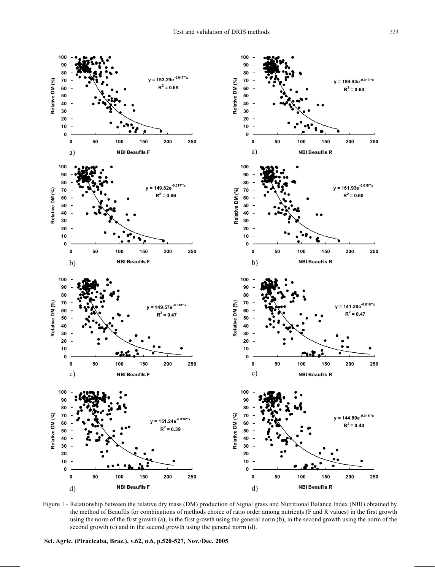

Figure 1 - Relationship between the relative dry mass (DM) production of Signal grass and Nutritional Balance Index (NBI) obtained by the method of Beaufils for combinations of methods choice of ratio order among nutrients (F and R values) in the first growth using the norm of the first growth (a), in the first growth using the general norm (b), in the second growth using the norm of the second growth (c) and in the second growth using the general norm (d).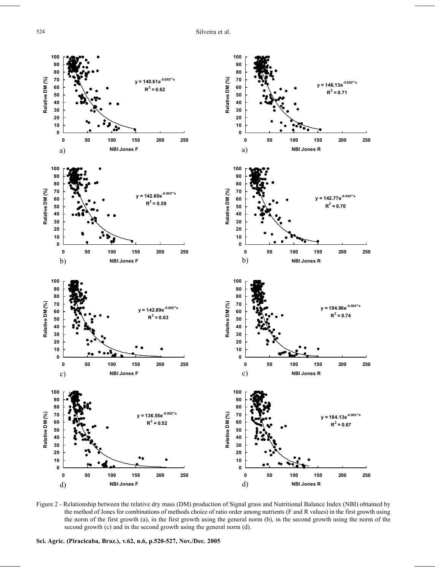

Figure 2 - Relationship between the relative dry mass (DM) production of Signal grass and Nutritional Balance Index (NBI) obtained by the method of Jones for combinations of methods choice of ratio order among nutrients (F and R values) in the first growth using the norm of the first growth (a), in the first growth using the general norm (b), in the second growth using the norm of the second growth (c) and in the second growth using the general norm (d).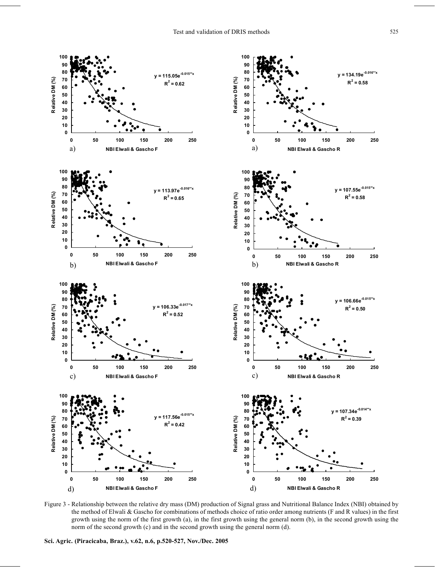

Figure 3 - Relationship between the relative dry mass (DM) production of Signal grass and Nutritional Balance Index (NBI) obtained by the method of Elwali & Gascho for combinations of methods choice of ratio order among nutrients (F and R values) in the first growth using the norm of the first growth (a), in the first growth using the general norm (b), in the second growth using the norm of the second growth (c) and in the second growth using the general norm (d).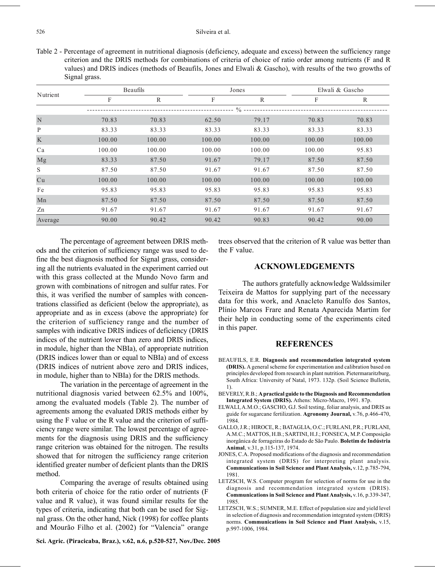Table 2 - Percentage of agreement in nutritional diagnosis (deficiency, adequate and excess) between the sufficiency range criterion and the DRIS methods for combinations of criteria of choice of ratio order among nutrients (F and R values) and DRIS indices (methods of Beaufils, Jones and Elwali & Gascho), with results of the two growths of Signal grass.

| Nutrient | <b>Beaufils</b> |              |        | Jones        |        | Elwali & Gascho |  |  |  |  |
|----------|-----------------|--------------|--------|--------------|--------|-----------------|--|--|--|--|
|          | F               | $\mathbb{R}$ | F      | $\mathbb{R}$ | F      | $\mathbb{R}$    |  |  |  |  |
|          | $\frac{0}{0}$   |              |        |              |        |                 |  |  |  |  |
| N        | 70.83           | 70.83        | 62.50  | 79.17        | 70.83  | 70.83           |  |  |  |  |
| P        | 83.33           | 83.33        | 83.33  | 83.33        | 83.33  | 83.33           |  |  |  |  |
| K        | 100.00          | 100.00       | 100.00 | 100.00       | 100.00 | 100.00          |  |  |  |  |
| Ca       | 100.00          | 100.00       | 100.00 | 100.00       | 100.00 | 95.83           |  |  |  |  |
| Mg       | 83.33           | 87.50        | 91.67  | 79.17        | 87.50  | 87.50           |  |  |  |  |
| S        | 87.50           | 87.50        | 91.67  | 91.67        | 87.50  | 87.50           |  |  |  |  |
| Cu       | 100.00          | 100.00       | 100.00 | 100.00       | 100.00 | 100.00          |  |  |  |  |
| Fe       | 95.83           | 95.83        | 95.83  | 95.83        | 95.83  | 95.83           |  |  |  |  |
| Mn       | 87.50           | 87.50        | 87.50  | 87.50        | 87.50  | 87.50           |  |  |  |  |
| Zn       | 91.67           | 91.67        | 91.67  | 91.67        | 91.67  | 91.67           |  |  |  |  |
| Average  | 90.00           | 90.42        | 90.42  | 90.83        | 90.42  | 90.00           |  |  |  |  |

The percentage of agreement between DRIS methods and the criterion of sufficiency range was used to define the best diagnosis method for Signal grass, considering all the nutrients evaluated in the experiment carried out with this grass collected at the Mundo Novo farm and grown with combinations of nitrogen and sulfur rates. For this, it was verified the number of samples with concentrations classified as deficient (below the appropriate), as appropriate and as in excess (above the appropriate) for the criterion of sufficiency range and the number of samples with indicative DRIS indices of deficiency (DRIS indices of the nutrient lower than zero and DRIS indices, in module, higher than the NBIa), of appropriate nutrition (DRIS indices lower than or equal to NBIa) and of excess (DRIS indices of nutrient above zero and DRIS indices, in module, higher than to NBIa) for the DRIS methods.

The variation in the percentage of agreement in the nutritional diagnosis varied between 62.5% and 100%, among the evaluated models (Table 2). The number of agreements among the evaluated DRIS methods either by using the F value or the R value and the criterion of sufficiency range were similar. The lowest percentage of agreements for the diagnosis using DRIS and the sufficiency range criterion was obtained for the nitrogen. The results showed that for nitrogen the sufficiency range criterion identified greater number of deficient plants than the DRIS method.

Comparing the average of results obtained using both criteria of choice for the ratio order of nutrients (F value and R value), it was found similar results for the types of criteria, indicating that both can be used for Signal grass. On the other hand, Nick (1998) for coffee plants and Mourão Filho et al. (2002) for "Valencia" orange trees observed that the criterion of R value was better than the F value.

### **ACKNOWLEDGEMENTS**

The authors gratefully acknowledge Waldssimiler Teixeira de Mattos for supplying part of the necessary data for this work, and Anacleto Ranulfo dos Santos, Plínio Marcos Frare and Renata Aparecida Martim for their help in conducting some of the experiments cited in this paper.

## **REFERENCES**

- BEAUFILS, E.R. **Diagnosis and recommendation integrated system (DRIS).** A general scheme for experimentation and calibration based on principles developed from research in plant nutrition. Pietermararitzburg, South Africa: University of Natal, 1973. 132p. (Soil Science Bulletin, 1).
- BEVERLY, R.B.; **A practical guide to the Diagnosis and Recommendation Integrated System (DRIS).** Athens: Micro-Macro, 1991. 87p.
- ELWALI, A.M.O.; GASCHO, G.J. Soil testing, foliar analysis, and DRIS as guide for sugarcane fertilization. **Agronomy Journal,** v.76, p.466-470, 1984.
- GALLO, J.R.; HIROCE, R.; BATAGLIA, O.C.; FURLANI, P.R.; FURLANI, A.M.C.; MATTOS, H.B.; SARTINI, H.J.; FONSECA, M.P. Composição inorgânica de forrageiras do Estado de São Paulo. **Boletim de Indústria Animal**, v.31, p.115-137, 1974.
- JONES, C.A. Proposed modifications of the diagnosis and recommendation integrated system (DRIS) for interpreting plant analysis. **Communications in Soil Science and Plant Analysis,** v.12, p.785-794, 1981.
- LETZSCH, W.S. Computer program for selection of norms for use in the diagnosis and recommendation integrated system (DRIS). **Communications in Soil Science and Plant Analysis,** v.16, p.339-347, 1985.
- LETZSCH, W.S.; SUMNER, M.E. Effect of population size and yield level in selection of diagnosis and recommendation integrated system (DRIS) norms. **Communications in Soil Science and Plant Analysis,** v.15, p.997-1006, 1984.